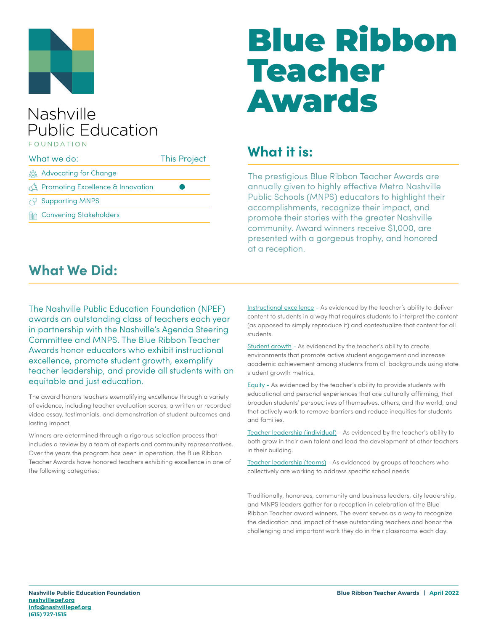

#### Nashville **Public Education** FOUNDATION

| What we do: |                                                  | <b>This Project</b> |
|-------------|--------------------------------------------------|---------------------|
|             | <u>క్రిక్కి</u> Advocating for Change            |                     |
|             | <b>The Promoting Excellence &amp; Innovation</b> |                     |
|             | $\curvearrowright$ Supporting MNPS               |                     |
|             | <b>MAN</b> Convening Stakeholders                |                     |
|             |                                                  |                     |

# Blue Ribbon Teacher Awards

## **What it is:**

The prestigious Blue Ribbon Teacher Awards are annually given to highly effective Metro Nashville Public Schools (MNPS) educators to highlight their accomplishments, recognize their impact, and promote their stories with the greater Nashville community. Award winners receive \$1,000, are presented with a gorgeous trophy, and honored at a reception.

#### **What We Did:**

The Nashville Public Education Foundation (NPEF) awards an outstanding class of teachers each year in partnership with the Nashville's Agenda Steering Committee and MNPS. The Blue Ribbon Teacher Awards honor educators who exhibit instructional excellence, promote student growth, exemplify teacher leadership, and provide all students with an equitable and just education.

The award honors teachers exemplifying excellence through a variety of evidence, including teacher evaluation scores, a written or recorded video essay, testimonials, and demonstration of student outcomes and lasting impact.

Winners are determined through a rigorous selection process that includes a review by a team of experts and community representatives. Over the years the program has been in operation, the Blue Ribbon Teacher Awards have honored teachers exhibiting excellence in one of the following categories:

Instructional excellence - As evidenced by the teacher's ability to deliver content to students in a way that requires students to interpret the content (as opposed to simply reproduce it) and contextualize that content for all students.

Student growth - As evidenced by the teacher's ability to create environments that promote active student engagement and increase academic achievement among students from all backgrounds using state student growth metrics.

Equity - As evidenced by the teacher's ability to provide students with educational and personal experiences that are culturally affirming; that broaden students' perspectives of themselves, others, and the world; and that actively work to remove barriers and reduce inequities for students and families.

Teacher leadership (individual) - As evidenced by the teacher's ability to both grow in their own talent and lead the development of other teachers in their building.

Teacher leadership (teams) - As evidenced by groups of teachers who collectively are working to address specific school needs.

Traditionally, honorees, community and business leaders, city leadership, and MNPS leaders gather for a reception in celebration of the Blue Ribbon Teacher award winners. The event serves as a way to recognize the dedication and impact of these outstanding teachers and honor the challenging and important work they do in their classrooms each day.